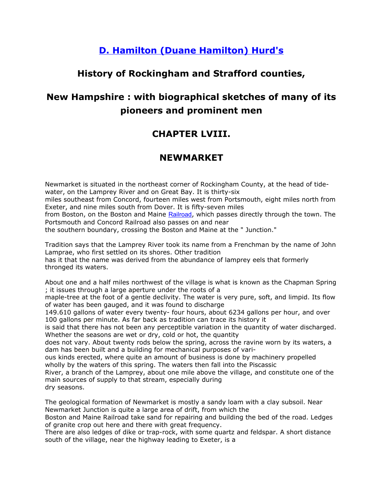# **[D. Hamilton \(Duane Hamilton\) Hurd's](http://www.ebooksread.com/authors-eng/d-hamilton-duane-hamilton-hurd.shtml)**

# **History of Rockingham and Strafford counties,**

# **New Hampshire : with biographical sketches of many of its pioneers and prominent men**

# **CHAPTER LVIII.**

# **NEWMARKET**

Newmarket is situated in the northeast corner of Rockingham County, at the head of tidewater, on the Lamprey River and on Great Bay. It is thirty-six miles southeast from Concord, fourteen miles west from Portsmouth, eight miles north from Exeter, and nine miles south from Dover. It is fifty-seven miles from Boston, on the Boston and Maine [Railroad](http://www.ebooksread.com/authors-eng/d-hamilton-duane-hamilton-hurd/history-of-rockingham-and-strafford-counties-new-hampshire--with-biographical--dru/page-98-history-of-rockingham-and-strafford-counties-new-hampshire--with-biographical--dru.shtml), which passes directly through the town. The Portsmouth and Concord Railroad also passes on and near the southern boundary, crossing the Boston and Maine at the " Junction."

Tradition says that the Lamprey River took its name from a Frenchman by the name of John Lamprae, who first settled on its shores. Other tradition has it that the name was derived from the abundance of lamprey eels that formerly

thronged its waters.

About one and a half miles northwest of the village is what is known as the Chapman Spring ; it issues through a large aperture under the roots of a

maple-tree at the foot of a gentle declivity. The water is very pure, soft, and limpid. Its flow of water has been gauged, and it was found to discharge

149.610 gallons of water every twenty- four hours, about 6234 gallons per hour, and over 100 gallons per minute. As far back as tradition can trace its history it

is said that there has not been any perceptible variation in the quantity of water discharged. Whether the seasons are wet or dry, cold or hot, the quantity

does not vary. About twenty rods below the spring, across the ravine worn by its waters, a dam has been built and a building for mechanical purposes of vari-

ous kinds erected, where quite an amount of business is done by machinery propelled wholly by the waters of this spring. The waters then fall into the Piscassic

River, a branch of the Lamprey, about one mile above the village, and constitute one of the main sources of supply to that stream, especially during dry seasons.

The geological formation of Newmarket is mostly a sandy loam with a clay subsoil. Near Newmarket Junction is quite a large area of drift, from which the

Boston and Maine Railroad take sand for repairing and building the bed of the road. Ledges of granite crop out here and there with great frequency.

There are also ledges of dike or trap-rock, with some quartz and feldspar. A short distance south of the village, near the highway leading to Exeter, is a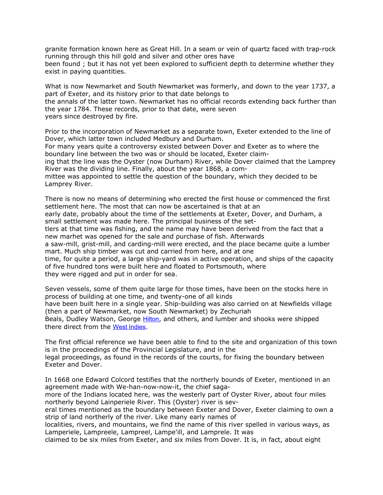granite formation known here as Great Hill. In a seam or vein of quartz faced with trap-rock running through this hill gold and silver and other ores have

been found ; but it has not yet been explored to sufficient depth to determine whether they exist in paying quantities.

What is now Newmarket and South Newmarket was formerly, and down to the year 1737, a part of Exeter, and its history prior to that date belongs to the annals of the latter town. Newmarket has no official records extending back further than the year 1784. These records, prior to that date, were seven years since destroyed by fire.

Prior to the incorporation of Newmarket as a separate town, Exeter extended to the line of Dover, which latter town included Medbury and Durham.

For many years quite a controversy existed between Dover and Exeter as to where the boundary line between the two was or should be located, Exeter claim-

ing that the line was the Oyster (now Durham) River, while Dover claimed that the Lamprey River was the dividing line. Finally, about the year 1868, a com-

mittee was appointed to settle the question of the boundary, which they decided to be Lamprey River.

There is now no means of determining who erected the first house or commenced the first settlement here. The most that can now be ascertained is that at an

early date, probably about the time of the settlements at Exeter, Dover, and Durham, a small settlement was made here. The principal business of the set-

tlers at that time was fishing, and the name may have been derived from the fact that a new marhet was opened for the sale and purchase of fish. Afterwards

a saw-mill, grist-mill, and carding-mill were erected, and the place became quite a lumber mart. Much ship timber was cut and carried from here, and at one

time, for quite a period, a large ship-yard was in active operation, and ships of the capacity of five hundred tons were built here and floated to Portsmouth, where

they were rigged and put in order for sea.

Seven vessels, some of them quite large for those times, have been on the stocks here in process of building at one time, and twenty-one of all kinds

have been built here in a single year. Ship-building was also carried on at Newfields village (then a part of Newmarket, now South Newmarket) by Zechuriah

Beals, Dudley Watson, George [Hilton](http://www.ebooksread.com/authors-eng/d-hamilton-duane-hamilton-hurd/history-of-rockingham-and-strafford-counties-new-hampshire--with-biographical--dru/page-98-history-of-rockingham-and-strafford-counties-new-hampshire--with-biographical--dru.shtml), and others, and lumber and shooks were shipped there direct from the [West](http://www.ebooksread.com/authors-eng/d-hamilton-duane-hamilton-hurd/history-of-rockingham-and-strafford-counties-new-hampshire--with-biographical--dru/page-98-history-of-rockingham-and-strafford-counties-new-hampshire--with-biographical--dru.shtml) [Indies](http://www.ebooksread.com/authors-eng/d-hamilton-duane-hamilton-hurd/history-of-rockingham-and-strafford-counties-new-hampshire--with-biographical--dru/page-98-history-of-rockingham-and-strafford-counties-new-hampshire--with-biographical--dru.shtml).

The first official reference we have been able to find to the site and organization of this town is in the proceedings of the Provincial Legislature, and in the

legal proceedings, as found in the records of the courts, for fixing the boundary between Exeter and Dover.

In 1668 one Edward Colcord testifies that the northerly bounds of Exeter, mentioned in an agreement made with We-han-now-now-it, the chief saga-

more of the Indians located here, was the westerly part of Oyster River, about four miles northerly beyond Lainperiele River. This (Oyster) river is sev-

eral times mentioned as the boundary between Exeter and Dover, Exeter claiming to own a strip of land northerly of the river. Like many early names of

localities, rivers, and mountains, we find the name of this river spelled in various ways, as Lamperiele, Lampreele, Lampreel, Lampe'ill, and Lamprele. It was

claimed to be six miles from Exeter, and six miles from Dover. It is, in fact, about eight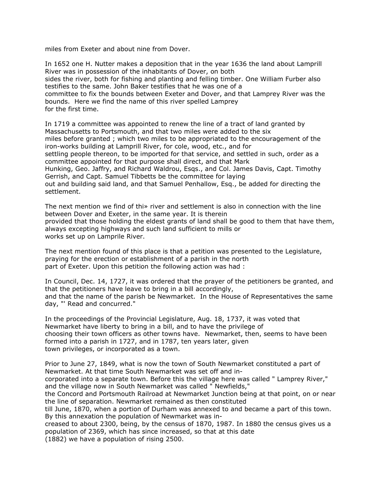miles from Exeter and about nine from Dover.

In 1652 one H. Nutter makes a deposition that in the year 1636 the land about Lamprill River was in possession of the inhabitants of Dover, on both sides the river, both for fishing and planting and felling timber. One William Furber also testifies to the same. John Baker testifies that he was one of a committee to fix the bounds between Exeter and Dover, and that Lamprey River was the bounds. Here we find the name of this river spelled Lamprey for the first time.

In 1719 a committee was appointed to renew the line of a tract of land granted by Massachusetts to Portsmouth, and that two miles were added to the six miles before granted ; which two miles to be appropriated to the encouragement of the iron-works building at Lamprill River, for cole, wood, etc., and for settling people thereon, to be imported for that service, and settled in such, order as a committee appointed for that purpose shall direct, and that Mark Hunking, Geo. Jaffry, and Richard Waldrou, Esqs., and Col. James Davis, Capt. Timothy Gerrish, and Capt. Samuel Tibbetts be the committee for laying out and building said land, and that Samuel Penhallow, Esq., be added for directing the settlement.

The next mention we find of thi» river and settlement is also in connection with the line between Dover and Exeter, in the same year. It is therein provided that those holding the eldest grants of land shall be good to them that have them, always excepting highways and such land sufficient to mills or works set up on Lamprile River.

The next mention found of this place is that a petition was presented to the Legislature, praying for the erection or establishment of a parish in the north part of Exeter. Upon this petition the following action was had :

In Council, Dec. 14, 1727, it was ordered that the prayer of the petitioners be granted, and that the petitioners have leave to bring in a bill accordingly, and that the name of the parish be Newmarket. In the House of Representatives the same day, "' Read and concurred."

In the proceedings of the Provincial Legislature, Aug. 18, 1737, it was voted that Newmarket have liberty to bring in a bill, and to have the privilege of choosing their town officers as other towns have. Newmarket, then, seems to have been formed into a parish in 1727, and in 1787, ten years later, given town privileges, or incorporated as a town.

Prior to June 27, 1849, what is now the town of South Newmarket constituted a part of Newmarket. At that time South Newmarket was set off and incorporated into a separate town. Before this the village here was called " Lamprey River,"

and the village now in South Newmarket was called " Newfields,"

the Concord and Portsmouth Railroad at Newmarket Junction being at that point, on or near the line of separation. Newmarket remained as then constituted

till June, 1870, when a portion of Durham was annexed to and became a part of this town. By this annexation the population of Newmarket was in-

creased to about 2300, being, by the census of 1870, 1987. In 1880 the census gives us a population of 2369, which has since increased, so that at this date (1882) we have a population of rising 2500.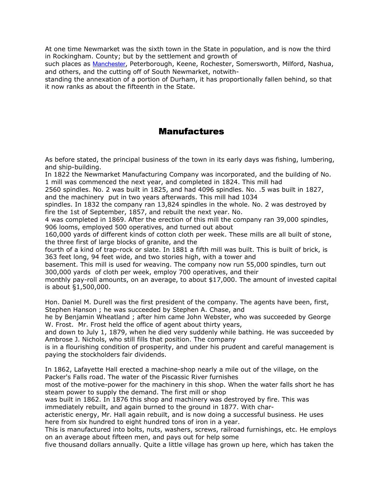At one time Newmarket was the sixth town in the State in population, and is now the third in Rockingham. County; but by the settlement and growth of

such places as [Manchester](http://www.ebooksread.com/authors-eng/d-hamilton-duane-hamilton-hurd/history-of-rockingham-and-strafford-counties-new-hampshire--with-biographical--dru/page-98-history-of-rockingham-and-strafford-counties-new-hampshire--with-biographical--dru.shtml), Peterborough, Keene, Rochester, Somersworth, Milford, Nashua, and others, and the cutting off of South Newmarket, notwith-

standing the annexation of a portion of Durham, it has proportionally fallen behind, so that it now ranks as about the fifteenth in the State.

#### Manufactures

As before stated, the principal business of the town in its early days was fishing, lumbering, and ship-building.

In 1822 the Newmarket Manufacturing Company was incorporated, and the building of No. 1 mill was commenced the next year, and completed in 1824. This mill had

2560 spindles. No. 2 was built in 1825, and had 4096 spindles. No. .5 was built in 1827, and the machinery put in two years afterwards. This mill had 1034

spindles. In 1832 the company ran 13,824 spindles in the whole. No. 2 was destroyed by fire the 1st of September, 1857, and rebuilt the next year. No.

4 was completed in 1869. After the erection of this mill the company ran 39,000 spindles, 906 looms, employed 500 operatives, and turned out about

160,000 yards of different kinds of cotton cloth per week. These mills are all built of stone, the three first of large blocks of granite, and the

fourth of a kind of trap-rock or slate. In 1881 a fifth mill was built. This is built of brick, is 363 feet long, 94 feet wide, and two stories high, with a tower and

basement. This mill is used for weaving. The company now run 55,000 spindles, turn out 300,000 yards of cloth per week, employ 700 operatives, and their

monthly pay-roll amounts, on an average, to about \$17,000. The amount of invested capital is about §1,500,000.

Hon. Daniel M. Durell was the first president of the company. The agents have been, first, Stephen Hanson ; he was succeeded by Stephen A. Chase, and

he by Benjamin Wheatland ; after him came John Webster, who was succeeded by George W. Frost. Mr. Frost held the office of agent about thirty years,

and down to July 1, 1879, when he died very suddenly while bathing. He was succeeded by Ambrose J. Nichols, who still fills that position. The company

is in a flourishing condition of prosperity, and under his prudent and careful management is paying the stockholders fair dividends.

In 1862, Lafayette Hall erected a machine-shop nearly a mile out of the village, on the Packer's Falls road. The water of the Piscassic River furnishes

most of the motive-power for the machinery in this shop. When the water falls short he has steam power to supply the demand. The first mill or shop

was built in 1862. In 1876 this shop and machinery was destroyed by fire. This was immediately rebuilt, and again burned to the ground in 1877. With char-

acteristic energy, Mr. Hall again rebuilt, and is now doing a successful business. He uses here from six hundred to eight hundred tons of iron in a year.

This is manufactured into bolts, nuts, washers, screws, railroad furnishings, etc. He employs on an average about fifteen men, and pays out for help some

five thousand dollars annually. Quite a little village has grown up here, which has taken the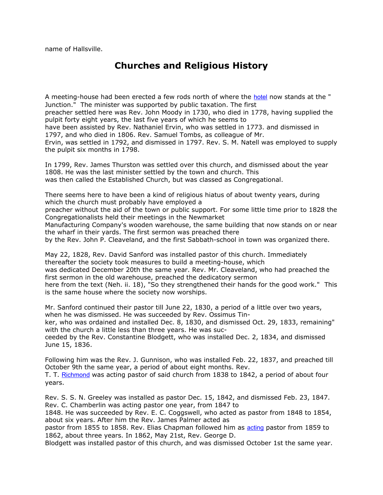name of Hallsville.

### **Churches and Religious History**

A meeting-house had been erected a few rods north of where the [hotel](http://www.ebooksread.com/authors-eng/d-hamilton-duane-hamilton-hurd/history-of-rockingham-and-strafford-counties-new-hampshire--with-biographical--dru/page-98-history-of-rockingham-and-strafford-counties-new-hampshire--with-biographical--dru.shtml) now stands at the " Junction." The minister was supported by public taxation. The first preacher settled here was Rev. John Moody in 1730, who died in 1778, having supplied the pulpit forty eight years, the last five years of which he seems to have been assisted by Rev. Nathaniel Ervin, who was settled in 1773. and dismissed in 1797, and who died in 1806. Rev. Samuel Tombs, as colleague of Mr. Ervin, was settled in 1792, and dismissed in 1797. Rev. S. M. Natell was employed to supply the pulpit six months in 1798.

In 1799, Rev. James Thurston was settled over this church, and dismissed about the year 1808. He was the last minister settled by the town and church. This was then called the Established Church, but was classed as Congregational.

There seems here to have been a kind of religious hiatus of about twenty years, during which the church must probably have employed a

preacher without the aid of the town or public support. For some little time prior to 1828 the Congregationalists held their meetings in the Newmarket

Manufacturing Company's wooden warehouse, the same building that now stands on or near the wharf in their yards. The first sermon was preached there

by the Rev. John P. Cleaveland, and the first Sabbath-school in town was organized there.

May 22, 1828, Rev. David Sanford was installed pastor of this church. Immediately thereafter the society took measures to build a meeting-house, which was dedicated December 20th the same year. Rev. Mr. Cleaveland, who had preached the first sermon in the old warehouse, preached the dedicatory sermon here from the text (Neh. ii. 18), "So they strengthened their hands for the good work." This is the same house where the society now worships.

Mr. Sanford continued their pastor till June 22, 1830, a period of a little over two years, when he was dismissed. He was succeeded by Rev. Ossimus Tin-

ker, who was ordained and installed Dec. 8, 1830, and dismissed Oct. 29, 1833, remaining" with the church a little less than three years. He was suc-

ceeded by the Rev. Constantine Blodgett, who was installed Dec. 2, 1834, and dismissed June 15, 1836.

Following him was the Rev. J. Gunnison, who was installed Feb. 22, 1837, and preached till October 9th the same year, a period of about eight months. Rev.

T. T. [Richmond](http://www.ebooksread.com/authors-eng/d-hamilton-duane-hamilton-hurd/history-of-rockingham-and-strafford-counties-new-hampshire--with-biographical--dru/page-98-history-of-rockingham-and-strafford-counties-new-hampshire--with-biographical--dru.shtml) was acting pastor of said church from 1838 to 1842, a period of about four years.

Rev. S. S. N. Greeley was installed as pastor Dec. 15, 1842, and dismissed Feb. 23, 1847. Rev. C. Chamberlin was acting pastor one year, from 1847 to

1848. He was succeeded by Rev. E. C. Coggswell, who acted as pastor from 1848 to 1854, about six years. After him the Rev. James Palmer acted as

pastor from 1855 to 1858. Rev. Elias Chapman followed him as [acting](http://www.ebooksread.com/authors-eng/d-hamilton-duane-hamilton-hurd/history-of-rockingham-and-strafford-counties-new-hampshire--with-biographical--dru/page-99-history-of-rockingham-and-strafford-counties-new-hampshire--with-biographical--dru.shtml) pastor from 1859 to 1862, about three years. In 1862, May 21st, Rev. George D.

Blodgett was installed pastor of this church, and was dismissed October 1st the same year.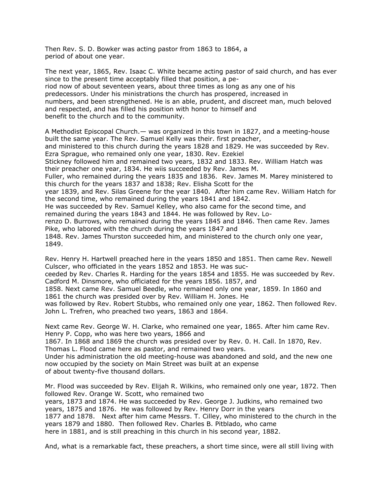Then Rev. S. D. Bowker was acting pastor from 1863 to 1864, a period of about one year.

The next year, 1865, Rev. Isaac C. White became acting pastor of said church, and has ever since to the present time acceptably filled that position, a period now of about seventeen years, about three times as long as any one of his predecessors. Under his ministrations the church has prospered, increased in numbers, and been strengthened. He is an able, prudent, and discreet man, much beloved and respected, and has filled his position with honor to himself and benefit to the church and to the community.

A Methodist Episcopal Church.— was organized in this town in 1827, and a meeting-house built the same year. The Rev. Samuel Kelly was their. first preacher, and ministered to this church during the years 1828 and 1829. He was succeeded by Rev. Ezra Sprague, who remained only one year, 1830. Rev. Ezekiel Stickney followed him and remained two years, 1832 and 1833. Rev. William Hatch was their preacher one year, 1834. He wiis succeeded by Rev. James M. Fuller, who remained during the years 1835 and 1836. Rev. James M. Marey ministered to this church for the years 1837 and 1838; Rev. Elisha Scott for the year 1839, and Rev. Silas Greene for the year 1840. After him came Rev. William Hatch for the second time, who remained during the years 1841 and 1842. He was succeeded by Rev. Samuel Kelley, who also came for the second time, and remained during the years 1843 and 1844. He was followed by Rev. Lorenzo D. Burrows, who remained during the years 1845 and 1846. Then came Rev. James Pike, who labored with the church during the years 1847 and 1848. Rev. James Thurston succeeded him, and ministered to the church only one year, 1849.

Rev. Henry H. Hartwell preached here in the years 1850 and 1851. Then came Rev. Newell Culscer, who officiated in the years 1852 and 1853. He was suc-

ceeded by Rev. Charles R. Harding for the years 1854 and 1855. He was succeeded by Rev. Cadford M. Dinsmore, who officiated for the years 1856. 1857, and

1858. Next came Rev. Samuel Beedle, who remained only one year, 1859. In 1860 and 1861 the church was presided over by Rev. William H. Jones. He

was followed by Rev. Robert Stubbs, who remained only one year, 1862. Then followed Rev. John L. Trefren, who preached two years, 1863 and 1864.

Next came Rev. George W. H. Clarke, who remained one year, 1865. After him came Rev. Henry P. Copp, who was here two years, 1866 and

1867. In 1868 and 1869 the church was presided over by Rev. 0. H. Call. In 1870, Rev. Thomas L. Flood came here as pastor, and remained two years.

Under his administration the old meeting-house was abandoned and sold, and the new one now occupied by the society on Main Street was built at an expense of about twenty-five thousand dollars.

Mr. Flood was succeeded by Rev. Elijah R. Wilkins, who remained only one year, 1872. Then followed Rev. Orange W. Scott, who remained two years, 1873 and 1874. He was succeeded by Rev. George J. Judkins, who remained two years, 1875 and 1876. He was followed by Rev. Henry Dorr in the years 1877 and 1878. Next after him came Messrs. T. Cilley, who ministered to the church in the years 1879 and 1880. Then followed Rev. Charles B. Pitblado, who came here in 1881, and is still preaching in this church in his second year, 1882.

And, what is a remarkable fact, these preachers, a short time since, were all still living with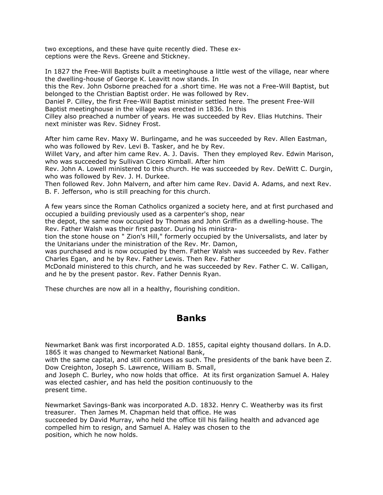two exceptions, and these have quite recently died. These exceptions were the Revs. Greene and Stickney.

In 1827 the Free-Will Baptists built a meetinghouse a little west of the village, near where the dwelling-house of George K. Leavitt now stands. In this the Rev. John Osborne preached for a .short time. He was not a Free-Will Baptist, but belonged to the Christian Baptist order. He was followed by Rev. Daniel P. Cilley, the first Free-Will Baptist minister settled here. The present Free-Will Baptist meetinghouse in the village was erected in 1836. In this Cilley also preached a number of years. He was succeeded by Rev. Elias Hutchins. Their next minister was Rev. Sidney Frost.

After him came Rev. Maxy W. Burlingame, and he was succeeded by Rev. Allen Eastman, who was followed by Rev. Levi B. Tasker, and he by Rev.

Willet Vary, and after him came Rev. A. J. Davis. Then they employed Rev. Edwin Marison, who was succeeded by Sullivan Cicero Kimball. After him

Rev. John A. Lowell ministered to this church. He was succeeded by Rev. DeWitt C. Durgin, who was followed by Rev. J. H. Durkee.

Then followed Rev. John Malvern, and after him came Rev. David A. Adams, and next Rev. B. F. Jefferson, who is still preaching for this church.

A few years since the Roman Catholics organized a society here, and at first purchased and occupied a building previously used as a carpenter's shop, near

the depot, the same now occupied by Thomas and John Griffin as a dwelling-house. The Rev. Father Walsh was their first pastor. During his ministra-

tion the stone house on " Zion's Hill," formerly occupied by the Universalists, and later by the Unitarians under the ministration of the Rev. Mr. Damon,

was purchased and is now occupied by them. Father Walsh was succeeded by Rev. Father Charles Egan, and he by Rev. Father Lewis. Then Rev. Father

McDonald ministered to this church, and he was succeeded by Rev. Father C. W. Calligan, and he by the present pastor. Rev. Father Dennis Ryan.

These churches are now all in a healthy, flourishing condition.

#### **Banks**

Newmarket Bank was first incorporated A.D. 1855, capital eighty thousand dollars. In A.D. 1865 it was changed to Newmarket National Bank,

with the same capital, and still continues as such. The presidents of the bank have been Z. Dow Creighton, Joseph S. Lawrence, William B. Small,

and Joseph C. Burley, who now holds that office. At its first organization Samuel A. Haley was elected cashier, and has held the position continuously to the present time.

Newmarket Savings-Bank was incorporated A.D. 1832. Henry C. Weatherby was its first treasurer. Then James M. Chapman held that office. He was succeeded by David Murray, who held the office till his failing health and advanced age compelled him to resign, and Samuel A. Haley was chosen to the position, which he now holds.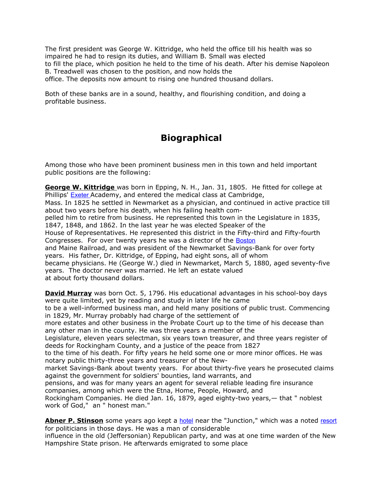The first president was George W. Kittridge, who held the office till his health was so impaired he had to resign its duties, and William B. Small was elected to fill the place, which position he held to the time of his death. After his demise Napoleon B. Treadwell was chosen to the position, and now holds the office. The deposits now amount to rising one hundred thousand dollars.

Both of these banks are in a sound, healthy, and flourishing condition, and doing a profitable business.

# **Biographical**

Among those who have been prominent business men in this town and held important public positions are the following:

**George W. Kittridge** was born in Epping, N. H., Jan. 31, 1805. He fitted for college at Phillips' [Exeter](http://www.ebooksread.com/authors-eng/d-hamilton-duane-hamilton-hurd/history-of-rockingham-and-strafford-counties-new-hampshire--with-biographical--dru/page-99-history-of-rockingham-and-strafford-counties-new-hampshire--with-biographical--dru.shtml) Academy, and entered the medical class at Cambridge, Mass. In 1825 he settled in Newmarket as a physician, and continued in active practice till about two years before his death, when his failing health compelled him to retire from business. He represented this town in the Legislature in 1835, 1847, 1848, and 1862. In the last year he was elected Speaker of the House of Representatives. He represented this district in the Fifty-third and Fifty-fourth Congresses. For over twenty years he was a director of the **[Boston](http://www.ebooksread.com/authors-eng/d-hamilton-duane-hamilton-hurd/history-of-rockingham-and-strafford-counties-new-hampshire--with-biographical--dru/page-99-history-of-rockingham-and-strafford-counties-new-hampshire--with-biographical--dru.shtml)** and Maine Railroad, and was president of the Newmarket Savings-Bank for over forty years. His father, Dr. Kittridge, of Epping, had eight sons, all of whom became physicians. He (George W.) died in Newmarket, March 5, 1880, aged seventy-five years. The doctor never was married. He left an estate valued at about forty thousand dollars.

**David Murray** was born Oct. 5, 1796. His educational advantages in his school-boy days were quite limited, yet by reading and study in later life he came to be a well-informed business man, and held many positions of public trust. Commencing in 1829, Mr. Murray probably had charge of the settlement of more estates and other business in the Probate Court up to the time of his decease than any other man in the county. He was three years a member of the Legislature, eleven years selectman, six years town treasurer, and three years register of deeds for Rockingham County, and a justice of the peace from 1827 to the time of his death. For fifty years he held some one or more minor offices. He was notary public thirty-three years and treasurer of the Newmarket Savings-Bank about twenty years. For about thirty-five years he prosecuted claims against the government for soldiers' bounties, land warrants, and pensions, and was for many years an agent for several reliable leading fire insurance companies, among which were the Etna, Home, People, Howard, and Rockingham Companies. He died Jan. 16, 1879, aged eighty-two years,— that " noblest work of God," an " honest man."

**Abner P. Stinson** some years ago kept a [hotel](http://www.ebooksread.com/authors-eng/d-hamilton-duane-hamilton-hurd/history-of-rockingham-and-strafford-counties-new-hampshire--with-biographical--dru/page-99-history-of-rockingham-and-strafford-counties-new-hampshire--with-biographical--dru.shtml) near the "Junction," which was a noted [resort](http://www.ebooksread.com/authors-eng/d-hamilton-duane-hamilton-hurd/history-of-rockingham-and-strafford-counties-new-hampshire--with-biographical--dru/page-99-history-of-rockingham-and-strafford-counties-new-hampshire--with-biographical--dru.shtml) for politicians in those days. He was a man of considerable influence in the old (Jeffersonian) Republican party, and was at one time warden of the New Hampshire State prison. He afterwards emigrated to some place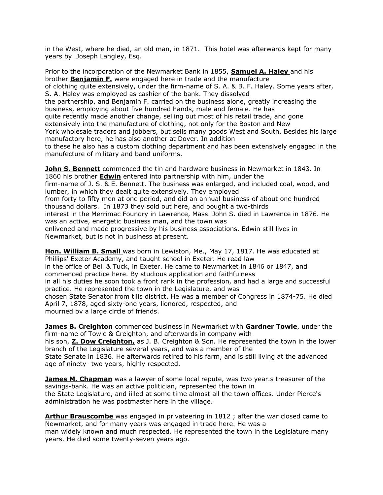in the West, where he died, an old man, in 1871. This hotel was afterwards kept for many years by Joseph Langley, Esq.

Prior to the incorporation of the Newmarket Bank in 1855, **Samuel A. Haley** and his brother **Benjamin F.** were engaged here in trade and the manufacture of clothing quite extensively, under the firm-name of S. A. & B. F. Haley. Some years after, S. A. Haley was employed as cashier of the bank. They dissolved the partnership, and Benjamin F. carried on the business alone, greatly increasing the business, employing about five hundred hands, male and female. He has quite recently made another change, selling out most of his retail trade, and gone extensively into the manufacture of clothing, not only for the Boston and New York wholesale traders and jobbers, but sells many goods West and South. Besides his large manufactory here, he has also another at Dover. In addition to these he also has a custom clothing department and has been extensively engaged in the manufecture of military and band uniforms.

**John S. Bennett** commenced the tin and hardware business in Newmarket in 1843. In 1860 his brother **Edwin** entered into partnership with him, under the firm-name of J. S. & E. Bennett. The business was enlarged, and included coal, wood, and lumber, in which they dealt quite extensively. They employed from forty to fifty men at one period, and did an annual business of about one hundred thousand dollars. In 1873 they sold out here, and bought a two-thirds interest in the Merrimac Foundry in Lawrence, Mass. John S. died in Lawrence in 1876. He was an active, energetic business man, and the town was enlivened and made progressive by his business associations. Edwin still lives in Newmarket, but is not in business at present.

**Hon. William B. Small** was born in Lewiston, Me., May 17, 1817. He was educated at Phillips' Exeter Academy, and taught school in Exeter. He read law in the office of Bell & Tuck, in Exeter. He came to Newmarket in 1846 or 1847, and commenced practice here. By studious application and faithfulness in all his duties he soon took a front rank in the profession, and had a large and successful practice. He represented the town in the Legislature, and was chosen State Senator from tliis district. He was a member of Congress in 1874-75. He died April 7, 1878, aged sixty-one years, lionored, respected, and mourned bv a large circle of friends.

**James B. Creighton** commenced business in Newmarket with **Gardner Towle**, under the firm-name of Towle & Creighton, and afterwards in company with his son, **Z. Dow Creighton,** as J. B. Creighton & Son. He represented the town in the lower branch of the Legislature several years, and was a member of the State Senate in 1836. He afterwards retired to his farm, and is still living at the advanced age of ninety- two years, highly respected.

**James M. Chapman** was a lawyer of some local repute, was two year.s treasurer of the savings-bank. He was an active politician, represented the town in the State Legislature, and iilled at some time almost all the town offices. Under Pierce's administration he was postmaster here in the village.

**Arthur Brauscombe** was engaged in privateering in 1812 ; after the war closed came to Newmarket, and for many years was engaged in trade here. He was a man widely known and much respected. He represented the town in the Legislature many years. He died some twenty-seven years ago.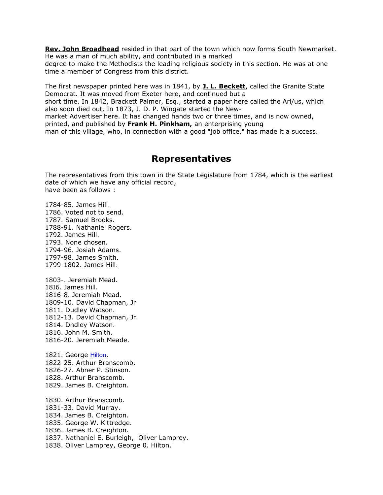**Rev. John Broadhead** resided in that part of the town which now forms South Newmarket. He was a man of much ability, and contributed in a marked

degree to make the Methodists the leading religious society in this section. He was at one time a member of Congress from this district.

The first newspaper printed here was in 1841, by **J. L. Beckett**, called the Granite State Democrat. It was moved from Exeter here, and continued but a short time. In 1842, Brackett Palmer, Esq., started a paper here called the Ari/us, which also soon died out. In 1873, J. D. P. Wingate started the Newmarket Advertiser here. It has changed hands two or three times, and is now owned, printed, and published by **Frank H. Pinkham,** an enterprising young man of this village, who, in connection with a good "job office," has made it a success.

#### **Representatives**

The representatives from this town in the State Legislature from 1784, which is the earliest date of which we have any official record, have been as follows :

1784-85. James Hill. 1786. Voted not to send. 1787. Samuel Brooks. 1788-91. Nathaniel Rogers. 1792. James Hill. 1793. None chosen. 1794-96. Josiah Adams. 1797-98. James Smith. 1799-1802. James Hill.

1803-. Jeremiah Mead. 18I6. James Hill. 1816-8. Jeremiah Mead. 1809-10. David Chapman, Jr 1811. Dudley Watson. 1812-13. David Chapman, Jr. 1814. Dndley Watson. 1816. John M. Smith. 1816-20. Jeremiah Meade.

1821. George [Hilton](http://www.ebooksread.com/authors-eng/d-hamilton-duane-hamilton-hurd/history-of-rockingham-and-strafford-counties-new-hampshire--with-biographical--dru/page-99-history-of-rockingham-and-strafford-counties-new-hampshire--with-biographical--dru.shtml). 1822-25. Arthur Branscomb. 1826-27. Abner P. Stinson. 1828. Arthur Branscomb. 1829. James B. Creighton.

1830. Arthur Branscomb. 1831-33. David Murray. 1834. James B. Creighton. 1835. George W. Kittredge. 1836. James B. Creighton. 1837. Nathaniel E. Burleigh, Oliver Lamprey. 1838. Oliver Lamprey, George 0. Hilton.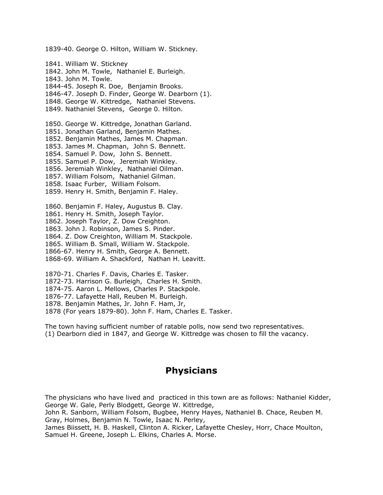1839-40. George O. Hilton, William W. Stickney. 1841. William W. Stickney 1842. John M. Towle, Nathaniel E. Burleigh. 1843. John M. Towle. 1844-45. Joseph R. Doe, Benjamin Brooks. 1846-47. Joseph D. Finder, George W. Dearborn (1). 1848. George W. Kittredge, Nathaniel Stevens. 1849. Nathaniel Stevens, George 0. Hilton. 1850. George W. Kittredge, Jonathan Garland. 1851. Jonathan Garland, Benjamin Mathes. 1852. Benjamin Mathes, James M. Chapman. 1853. James M. Chapman, John S. Bennett. 1854. Samuel P. Dow, John S. Bennett. 1855. Samuel P. Dow, Jeremiah Winkley. 1856. Jeremiah Winkley, Nathaniel Oilman. 1857. William Folsom, Nathaniel Gilman. 1858. Isaac Furber, William Folsom. 1859. Henry H. Smith, Benjamin F. Haley. 1860. Benjamin F. Haley, Augustus B. Clay. 1861. Henry H. Smith, Joseph Taylor. 1862. Joseph Taylor, Z. Dow Creighton. 1863. John J. Robinson, James S. Pinder. 1864. Z. Dow Creighton, William M. Stackpole. 1865. William B. Small, William W. Stackpole. 1866-67. Henry H. Smith, George A. Bennett. 1868-69. William A. Shackford, Nathan H. Leavitt.

1870-71. Charles F. Davis, Charles E. Tasker. 1872-73. Harrison G. Burleigh, Charles H. Smith. 1874-75. Aaron L. Mellows, Charles P. Stackpole. 1876-77. Lafayette Hall, Reuben M. Burleigh. 1878. Benjamin Mathes, Jr. John F. Ham, Jr, 1878 (For years 1879-80). John F. Ham, Charles E. Tasker.

The town having sufficient number of ratable polls, now send two representatives. (1) Dearborn died in 1847, and George W. Kittredge was chosen to fill the vacancy.

### **Physicians**

The physicians who have lived and practiced in this town are as follows: Nathaniel Kidder, George W. Gale, Perly Blodgett, George W. Kittredge,

John R. Sanborn, William Folsom, Bugbee, Henry Hayes, Nathaniel B. Chace, Reuben M. Gray, Holmes, Benjamin N. Towle, Isaac N. Perley,

James Biissett, H. B. Haskell, Clinton A. Ricker, Lafayette Chesley, Horr, Chace Moulton, Samuel H. Greene, Joseph L. Elkins, Charles A. Morse.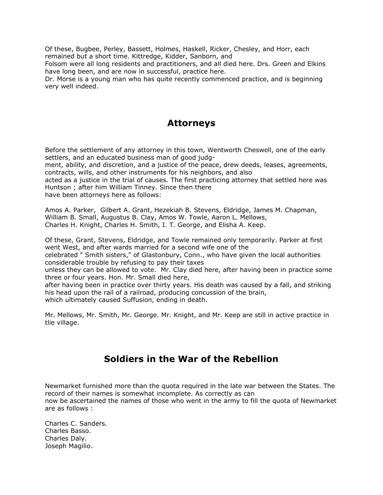Of these, Bugbee, Perley, Bassett, Holmes, Haskell, Ricker, Chesley, and Horr, each remained but a short time. Kittredge, Kidder, Sanborn, and

Folsom were all long residents and practitioners, and all died here. Drs. Green and Elkins have long been, and are now in successful, practice here.

Dr. Morse is a young man who has quite recently commenced practice, and is beginning very well indeed.

#### **Attorneys**

Before the settlement of any attorney in this town, Wentworth Cheswell, one of the early settlers, and an educated business man of good judg-

ment, ability, and discretion, and a justice of the peace, drew deeds, leases, agreements, contracts, wills, and other instruments for his neighbors, and also

acted as a justice in the trial of causes. The first practicing attorney that settled here was Huntson ; after him William Tinney. Since then there

have been attorneys here as follows:

Amos A. Parker, Gilbert A. Grant, Hezekiah B. Stevens, Eldridge, James M. Chapman, William B. Small, Augustus B. Clay, Amos W. Towle, Aaron L. Mellows, Charles H. Knight, Charles H. Smith, I. T. George, and Elisha A. Keep.

Of these, Grant, Stevens, Eldridge, and Towle remained only temporarily. Parker at first went West, and after wards married for a second wife one of the celebrated " Smith sisters," of Glastonbury, Conn., who have given the local authorities

considerable trouble by refusing to pay their taxes unless they can be allowed to vote. Mr. Clay died here, after having been in practice some

three or four years. Hon. Mr. Small died here,

after having been in practice over thirty years. His death was caused by a fall, and striking his head upon the rail of a railroad, producing concussion of the brain, which ultimately caused Suffusion, ending in death.

Mr. Mellows, Mr. Smith, Mr. George. Mr. Knight, and Mr. Keep are still in active practice in tlie village.

### **Soldiers in the War of the Rebellion**

Newmarket furnished more than the quota required in the late war between the States. The record of their names is somewhat incomplete. As correctly as can now be ascertained the names of those who went in the army to fill the quota of Newmarket are as follows :

Charles C. Sanders. Charles Basso. Charles Daly. Joseph Magilio.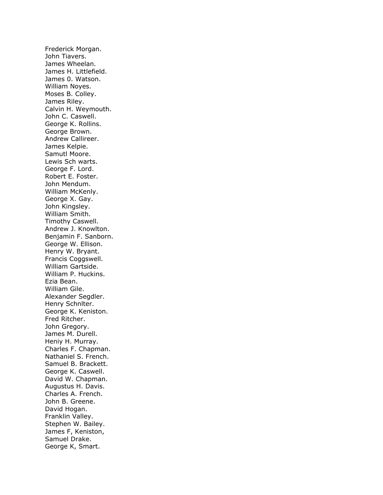Frederick Morgan. John Tiavers. James Wheelan. James H. Littlefield. James 0. Watson. William Noyes. Moses B. Colley. James Riley. Calvin H. Weymouth. John C. Caswell. George K. Rollins. George Brown. Andrew Callireer. James Kelpie. Samutl Moore. Lewis Sch warts. George F. Lord. Robert E. Foster. John Mendum. William McKenly. George X. Gay. John Kingsley. William Smith. Timothy Caswell. Andrew J. Knowlton. Benjamin F. Sanborn. George W. Ellison. Henry W. Bryant. Francis Coggswell. William Gartside. William P. Huckins. Ezia Bean. William Gile. Alexander Segdler. Henry Schnlter. George K. Keniston. Fred Ritcher. John Gregory. James M. Durell. Heniy H. Murray. Charles F. Chapman. Nathaniel S. French. Samuel B. Brackett. George K. Caswell. David W. Chapman. Augustus H. Davis. Charles A. French. John B. Greene. David Hogan. Franklin Valley. Stephen W. Bailey. James F, Keniston, Samuel Drake. George K, Smart.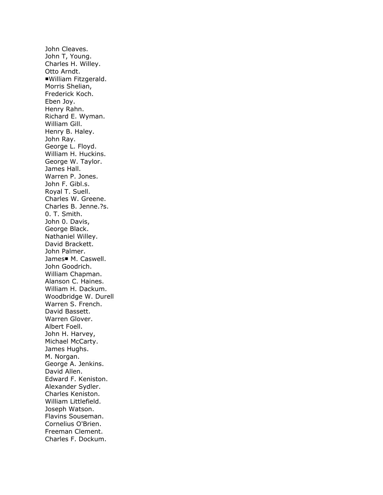John Cleaves. John T, Young. Charles H. Willey. Otto Arndt. ■William Fitzgerald. Morris Shelian, Frederick Koch. Eben Joy. Henry Rahn. Richard E. Wyman. William Gill. Henry B. Haley. John Ray. George L. Floyd. William H. Huckins. George W. Taylor. James Hall. Warren P. Jones. John F. Gibl.s. Royal T. Suell. Charles W. Greene. Charles B. Jenne.?s. 0. T. Smith. John 0. Davis, George Black. Nathaniel Willey. David Brackett. John Palmer. James■ M. Caswell. John Goodrich. William Chapman. Alanson C. Haines. William H. Dackum. Woodbridge W. Durell Warren S. French. David Bassett. Warren Glover. Albert Foell. John H. Harvey, Michael McCarty. James Hughs. M. Norgan. George A. Jenkins. David Allen. Edward F. Keniston. Alexander Sydler. Charles Keniston. William Littlefield. Joseph Watson. Flavins Souseman. Cornelius O'Brien. Freeman Clement. Charles F. Dockum.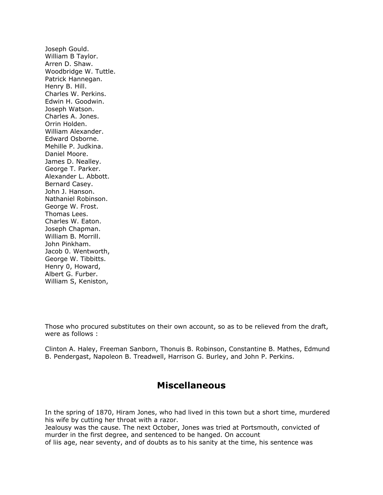Joseph Gould. William B Taylor. Arren D. Shaw. Woodbridge W. Tuttle. Patrick Hannegan. Henry B. Hill. Charles W. Perkins. Edwin H. Goodwin. Joseph Watson. Charles A. Jones. Orrin Holden. William Alexander. Edward Osborne. Mehille P. Judkina. Daniel Moore. James D. Nealley. George T. Parker. Alexander L. Abbott. Bernard Casey. John J. Hanson. Nathaniel Robinson. George W. Frost. Thomas Lees. Charles W. Eaton. Joseph Chapman. William B. Morrill. John Pinkham. Jacob 0. Wentworth, George W. Tibbitts. Henry 0, Howard, Albert G. Furber. William S, Keniston,

Those who procured substitutes on their own account, so as to be relieved from the draft, were as follows :

Clinton A. Haley, Freeman Sanborn, Thonuis B. Robinson, Constantine B. Mathes, Edmund B. Pendergast, Napoleon B. Treadwell, Harrison G. Burley, and John P. Perkins.

#### **Miscellaneous**

In the spring of 1870, Hiram Jones, who had lived in this town but a short time, murdered his wife by cutting her throat with a razor.

Jealousy was the cause. The next October, Jones was tried at Portsmouth, convicted of murder in the first degree, and sentenced to be hanged. On account of liis age, near seventy, and of doubts as to his sanity at the time, his sentence was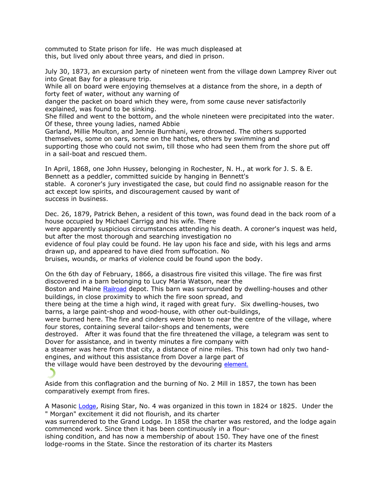commuted to State prison for life. He was much displeased at this, but lived only about three years, and died in prison.

July 30, 1873, an excursion party of nineteen went from the village down Lamprey River out into Great Bay for a pleasure trip.

While all on board were enjoying themselves at a distance from the shore, in a depth of forty feet of water, without any warning of

danger the packet on board which they were, from some cause never satisfactorily explained, was found to be sinking.

She filled and went to the bottom, and the whole nineteen were precipitated into the water. Of these, three young ladies, named Abbie

Garland, Millie Moulton, and Jennie Burnhani, were drowned. The others supported themselves, some on oars, some on the hatches, others by swimming and supporting those who could not swim, till those who had seen them from the shore put off in a sail-boat and rescued them.

In April, 1868, one John Hussey, belonging in Rochester, N. H., at work for J. S. & E. Bennett as a peddler, committed suicide by hanging in Bennett's stable. A coroner's jury investigated the case, but could find no assignable reason for the act except low spirits, and discouragement caused by want of success in business.

Dec. 26, 1879, Patrick Behen, a resident of this town, was found dead in the back room of a house occupied by Michael Carrigg and his wife. There

were apparently suspicious circumstances attending his death. A coroner's inquest was held, but after the most thorough and searching investigation no

evidence of foul play could be found. He lay upon his face and side, with his legs and arms drawn up, and appeared to have died from suffocation. No

bruises, wounds, or marks of violence could be found upon the body.

On the 6th day of February, 1866, a disastrous fire visited this village. The fire was first discovered in a barn belonging to Lucy Maria Watson, near the

Boston and Maine [Railroad](http://www.ebooksread.com/authors-eng/d-hamilton-duane-hamilton-hurd/history-of-rockingham-and-strafford-counties-new-hampshire--with-biographical--dru/page-100-history-of-rockingham-and-strafford-counties-new-hampshire--with-biographical--dru.shtml) depot. This barn was surrounded by dwelling-houses and other buildings, in close proximity to which the fire soon spread, and

there being at the time a high wind, it raged with great fury. Six dwelling-houses, two barns, a large paint-shop and wood-house, with other out-buildings,

were burned here. The fire and cinders were blown to near the centre of the village, where four stores, containing several tailor-shops and tenements, were

destroyed. After it was found that the fire threatened the village, a telegram was sent to Dover for assistance, and in twenty minutes a fire company with

a steamer was here from that city, a distance of nine miles. This town had only two handengines, and without this assistance from Dover a large part of

the village would have been destroyed by the devouring [element.](http://www.ebooksread.com/authors-eng/d-hamilton-duane-hamilton-hurd/history-of-rockingham-and-strafford-counties-new-hampshire--with-biographical--dru/page-100-history-of-rockingham-and-strafford-counties-new-hampshire--with-biographical--dru.shtml)

Aside from this conflagration and the burning of No. 2 Mill in 1857, the town has been comparatively exempt from fires.

A Masonic [Lodge](http://www.ebooksread.com/authors-eng/d-hamilton-duane-hamilton-hurd/history-of-rockingham-and-strafford-counties-new-hampshire--with-biographical--dru/page-100-history-of-rockingham-and-strafford-counties-new-hampshire--with-biographical--dru.shtml), Rising Star, No. 4 was organized in this town in 1824 or 1825. Under the " Morgan" excitement it did not flourish, and its charter

was surrendered to the Grand Lodge. In 1858 the charter was restored, and the lodge again commenced work. Since then it has been continuously in a flour-

ishing condition, and has now a membership of about 150. They have one of the finest lodge-rooms in the State. Since the restoration of its charter its Masters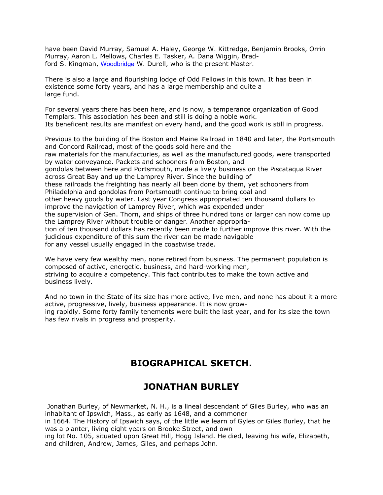have been David Murray, Samuel A. Haley, George W. Kittredge, Benjamin Brooks, Orrin Murray, Aaron L. Mellows, Charles E. Tasker, A. Dana Wiggin, Bradford S. Kingman, [Woodbridge](http://www.ebooksread.com/authors-eng/d-hamilton-duane-hamilton-hurd/history-of-rockingham-and-strafford-counties-new-hampshire--with-biographical--dru/page-100-history-of-rockingham-and-strafford-counties-new-hampshire--with-biographical--dru.shtml) W. Durell, who is the present Master.

There is also a large and flourishing lodge of Odd Fellows in this town. It has been in existence some forty years, and has a large membership and quite a large fund.

For several years there has been here, and is now, a temperance organization of Good Templars. This association has been and still is doing a noble work. Its beneficent results are manifest on every hand, and the good work is still in progress.

Previous to the building of the Boston and Maine Railroad in 1840 and later, the Portsmouth and Concord Railroad, most of the goods sold here and the raw materials for the manufacturies, as well as the manufactured goods, were transported by water conveyance. Packets and schooners from Boston, and gondolas between here and Portsmouth, made a lively business on the Piscataqua River across Great Bay and up the Lamprey River. Since the building of these railroads the freighting has nearly all been done by them, yet schooners from Philadelphia and gondolas from Portsmouth continue to bring coal and other heavy goods by water. Last year Congress appropriated ten thousand dollars to improve the navigation of Lamprey River, which was expended under the supervision of Gen. Thorn, and ships of three hundred tons or larger can now come up the Lamprey River without trouble or danger. Another appropriation of ten thousand dollars has recently been made to further improve this river. With the judicious expenditure of this sum the river can be made navigable for any vessel usually engaged in the coastwise trade.

We have very few wealthy men, none retired from business. The permanent population is composed of active, energetic, business, and hard-working men, striving to acquire a competency. This fact contributes to make the town active and business lively.

And no town in the State of its size has more active, live men, and none has about it a more active, progressive, lively, business appearance. It is now growing rapidly. Some forty family tenements were built the last year, and for its size the town has few rivals in progress and prosperity.

### **BIOGRAPHICAL SKETCH.**

### **JONATHAN BURLEY**

Jonathan Burley, of Newmarket, N. H., is a lineal descendant of Giles Burley, who was an inhabitant of Ipswich, Mass., as early as 1648, and a commoner

in 1664. The History of Ipswich says, of the little we learn of Gyles or Giles Burley, that he was a planter, living eight years on Brooke Street, and own-

ing lot No. 105, situated upon Great Hill, Hogg Island. He died, leaving his wife, Elizabeth, and children, Andrew, James, Giles, and perhaps John.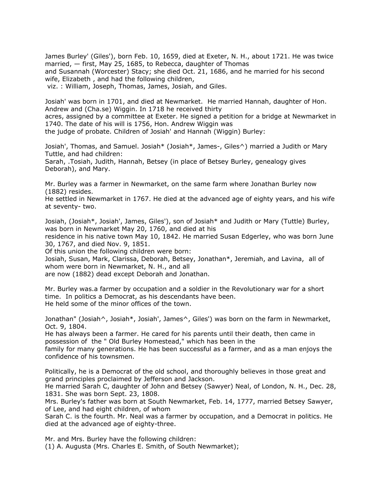James Burley' (Giles'), born Feb. 10, 1659, died at Exeter, N. H., about 1721. He was twice married, — first, May 25, 1685, to Rebecca, daughter of Thomas and Susannah (Worcester) Stacy; she died Oct. 21, 1686, and he married for his second wife, Elizabeth , and had the following children, viz. : William, Joseph, Thomas, James, Josiah, and Giles.

Josiah' was born in 1701, and died at Newmarket. He married Hannah, daughter of Hon. Andrew and (Cha.se) Wiggin. In 1718 he received thirty acres, assigned by a committee at Exeter. He signed a petition for a bridge at Newmarket in 1740. The date of his will is 1756, Hon. Andrew Wiggin was the judge of probate. Children of Josiah' and Hannah (Wiggin) Burley:

Josiah', Thomas, and Samuel. Josiah\* (Josiah\*, James-, Giles^) married a Judith or Mary Tuttle, and had children: Sarah, .Tosiah, Judith, Hannah, Betsey (in place of Betsey Burley, genealogy gives Deborah), and Mary.

Mr. Burley was a farmer in Newmarket, on the same farm where Jonathan Burley now (1882) resides.

He settled in Newmarket in 1767. He died at the advanced age of eighty years, and his wife at seventy- two.

Josiah, (Josiah\*, Josiah', James, Giles'), son of Josiah\* and Judith or Mary (Tuttle) Burley, was born in Newmarket May 20, 1760, and died at his

residence in his native town May 10, 1842. He married Susan Edgerley, who was born June 30, 1767, and died Nov. 9, 1851.

Of this union the following children were born:

Josiah, Susan, Mark, Clarissa, Deborah, Betsey, Jonathan\*, Jeremiah, and Lavina, all of whom were born in Newmarket, N. H., and all

are now (1882) dead except Deborah and Jonathan.

Mr. Burley was.a farmer by occupation and a soldier in the Revolutionary war for a short time. In politics a Democrat, as his descendants have been. He held some of the minor offices of the town.

Jonathan" (Josiah^, Josiah\*, Josiah', James^, Giles') was born on the farm in Newmarket, Oct. 9, 1804.

He has always been a farmer. He cared for his parents until their death, then came in possession of the " Old Burley Homestead," which has been in the

family for many generations. He has been successful as a farmer, and as a man enjoys the confidence of his townsmen.

Politically, he is a Democrat of the old school, and thoroughly believes in those great and grand principles proclaimed by Jefferson and Jackson.

He married Sarah C, daughter of John and Betsey (Sawyer) Neal, of London, N. H., Dec. 28, 1831. She was born Sept. 23, 1808.

Mrs. Burley's father was born at South Newmarket, Feb. 14, 1777, married Betsey Sawyer, of Lee, and had eight children, of whom

Sarah C. is the fourth. Mr. Neal was a farmer by occupation, and a Democrat in politics. He died at the advanced age of eighty-three.

Mr. and Mrs. Burley have the following children:

(1) A. Augusta (Mrs. Charles E. Smith, of South Newmarket);